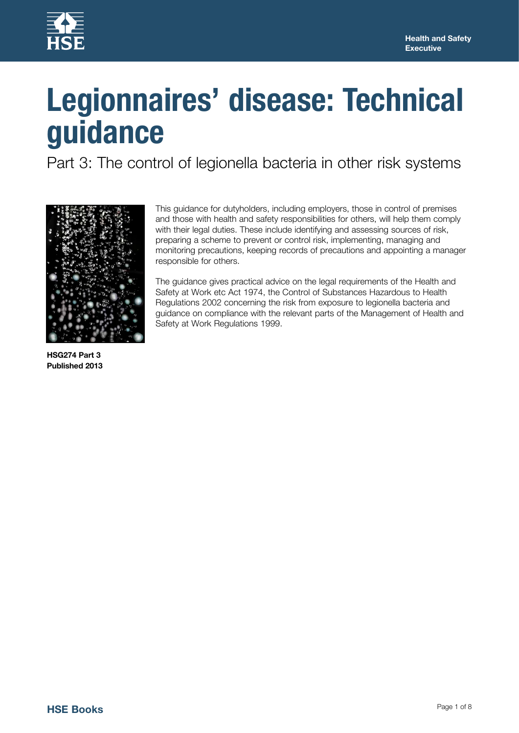

# **Legionnaires' disease: Technical guidance**

Part 3: The control of legionella bacteria in other risk systems



This guidance for dutyholders, including employers, those in control of premises and those with health and safety responsibilities for others, will help them comply with their legal duties. These include identifying and assessing sources of risk, preparing a scheme to prevent or control risk, implementing, managing and monitoring precautions, keeping records of precautions and appointing a manager responsible for others.

The guidance gives practical advice on the legal requirements of the Health and Safety at Work etc Act 1974, the Control of Substances Hazardous to Health Regulations 2002 concerning the risk from exposure to legionella bacteria and guidance on compliance with the relevant parts of the Management of Health and Safety at Work Regulations 1999.

**HSG274 Part 3 Published 2013**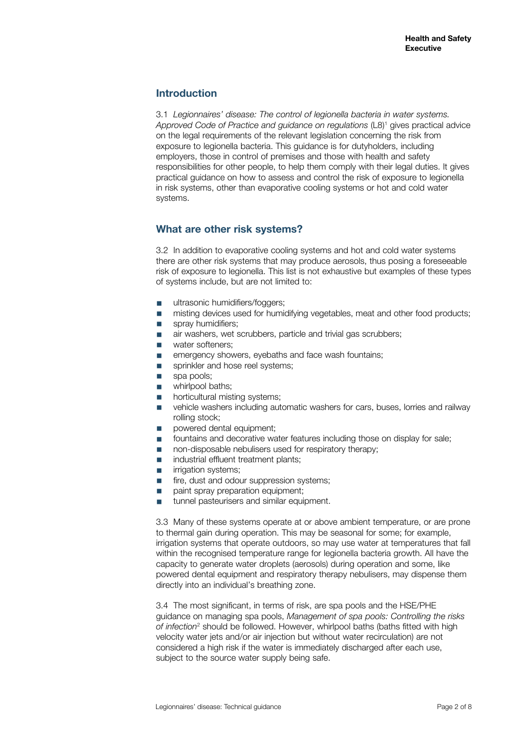### **Introduction**

3.1 *Legionnaires' disease: The control of legionella bacteria in water systems.*  Approved Code of Practice and guidance on regulations (L8)<sup>1</sup> gives practical advice on the legal requirements of the relevant legislation concerning the risk from exposure to legionella bacteria. This guidance is for dutyholders, including employers, those in control of premises and those with health and safety responsibilities for other people, to help them comply with their legal duties. It gives practical guidance on how to assess and control the risk of exposure to legionella in risk systems, other than evaporative cooling systems or hot and cold water systems.

## **What are other risk systems?**

3.2 In addition to evaporative cooling systems and hot and cold water systems there are other risk systems that may produce aerosols, thus posing a foreseeable risk of exposure to legionella. This list is not exhaustive but examples of these types of systems include, but are not limited to:

- ultrasonic humidifiers/foggers:
- misting devices used for humidifying vegetables, meat and other food products;
- spray humidifiers:
- air washers, wet scrubbers, particle and trivial gas scrubbers;
- water softeners:
- emergency showers, eyebaths and face wash fountains;
- sprinkler and hose reel systems;<br>■ spa pools:
- spa pools;
- whirlpool baths;
- horticultural misting systems;
- vehicle washers including automatic washers for cars, buses, lorries and railway rolling stock;
- powered dental equipment;
- fountains and decorative water features including those on display for sale;
- non-disposable nebulisers used for respiratory therapy;
- industrial effluent treatment plants;
- **■** irrigation systems;
- fire, dust and odour suppression systems;
- paint spray preparation equipment;<br>■ tunnel pasteurisers and similar equi
- tunnel pasteurisers and similar equipment.

3.3 Many of these systems operate at or above ambient temperature, or are prone to thermal gain during operation. This may be seasonal for some; for example, irrigation systems that operate outdoors, so may use water at temperatures that fall within the recognised temperature range for legionella bacteria growth. All have the capacity to generate water droplets (aerosols) during operation and some, like powered dental equipment and respiratory therapy nebulisers, may dispense them directly into an individual's breathing zone.

3.4 The most significant, in terms of risk, are spa pools and the HSE/PHE guidance on managing spa pools, *Management of spa pools: Controlling the risks*  of infection<sup>2</sup> should be followed. However, whirlpool baths (baths fitted with high velocity water jets and/or air injection but without water recirculation) are not considered a high risk if the water is immediately discharged after each use, subject to the source water supply being safe.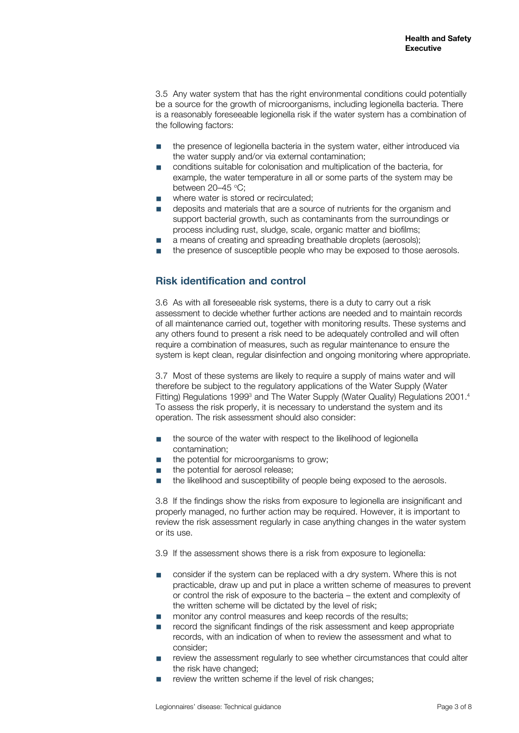3.5 Any water system that has the right environmental conditions could potentially be a source for the growth of microorganisms, including legionella bacteria. There is a reasonably foreseeable legionella risk if the water system has a combination of the following factors:

- the presence of legionella bacteria in the system water, either introduced via the water supply and/or via external contamination;
- conditions suitable for colonisation and multiplication of the bacteria, for example, the water temperature in all or some parts of the system may be between 20–45 °C;
- where water is stored or recirculated;
- deposits and materials that are a source of nutrients for the organism and support bacterial growth, such as contaminants from the surroundings or process including rust, sludge, scale, organic matter and biofilms;
- a means of creating and spreading breathable droplets (aerosols):
- the presence of susceptible people who may be exposed to those aerosols.

## **Risk identification and control**

3.6 As with all foreseeable risk systems, there is a duty to carry out a risk assessment to decide whether further actions are needed and to maintain records of all maintenance carried out, together with monitoring results. These systems and any others found to present a risk need to be adequately controlled and will often require a combination of measures, such as regular maintenance to ensure the system is kept clean, regular disinfection and ongoing monitoring where appropriate.

3.7 Most of these systems are likely to require a supply of mains water and will therefore be subject to the regulatory applications of the Water Supply (Water Fitting) Regulations 1999<sup>3</sup> and The Water Supply (Water Quality) Regulations 2001.<sup>4</sup> To assess the risk properly, it is necessary to understand the system and its operation. The risk assessment should also consider:

- the source of the water with respect to the likelihood of legionella contamination;
- the potential for microorganisms to grow;
- the potential for aerosol release;
- the likelihood and susceptibility of people being exposed to the aerosols.

3.8 If the findings show the risks from exposure to legionella are insignificant and properly managed, no further action may be required. However, it is important to review the risk assessment regularly in case anything changes in the water system or its use.

3.9 If the assessment shows there is a risk from exposure to legionella:

- consider if the system can be replaced with a dry system. Where this is not practicable, draw up and put in place a written scheme of measures to prevent or control the risk of exposure to the bacteria – the extent and complexity of the written scheme will be dictated by the level of risk;
- monitor any control measures and keep records of the results;
- record the significant findings of the risk assessment and keep appropriate records, with an indication of when to review the assessment and what to consider;
- review the assessment regularly to see whether circumstances that could alter the risk have changed;
- review the written scheme if the level of risk changes;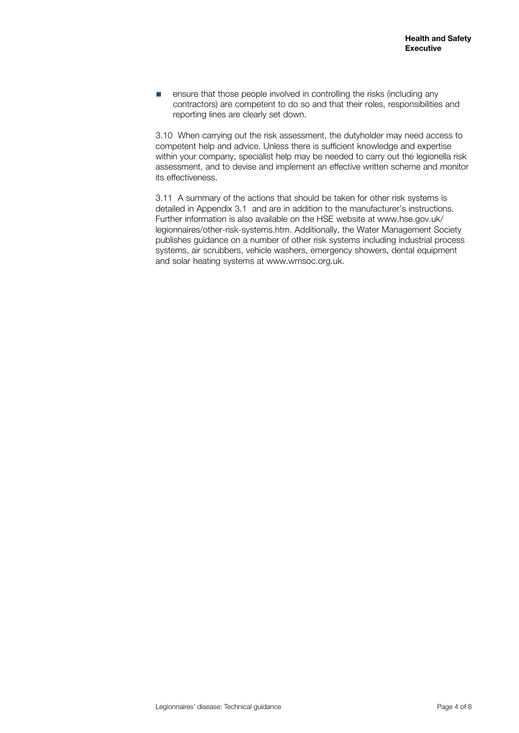■ ensure that those people involved in controlling the risks (including any contractors) are competent to do so and that their roles, responsibilities and reporting lines are clearly set down.

3.10 When carrying out the risk assessment, the dutyholder may need access to competent help and advice. Unless there is sufficient knowledge and expertise within your company, specialist help may be needed to carry out the legionella risk assessment, and to devise and implement an effective written scheme and monitor its effectiveness.

3.11 A summary of the actions that should be taken for other risk systems is detailed in Appendix 3.1 and are in addition to the manufacturer's instructions. Further information is also available on the HSE website at [www.hse.gov.uk/](http://www.hse.gov.uk/legionnaires/other-risk-systems.htm) [legionnaires/other-risk-systems.htm](http://www.hse.gov.uk/legionnaires/other-risk-systems.htm). Additionally, the Water Management Society publishes guidance on a number of other risk systems including industrial process systems, air scrubbers, vehicle washers, emergency showers, dental equipment and solar heating systems at www.wmsoc.org.uk.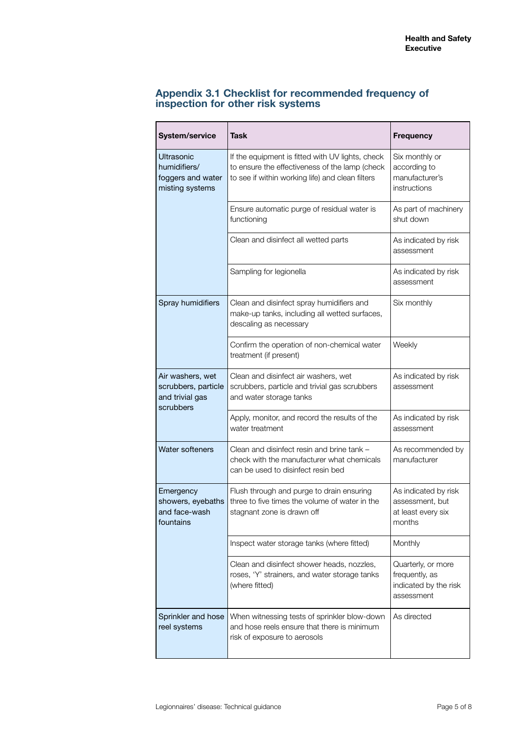# **Appendix 3.1 Checklist for recommended frequency of inspection for other risk systems**

| <b>System/service</b>                                                     | <b>Task</b>                                                                                                                                            | <b>Frequency</b>                                                            |
|---------------------------------------------------------------------------|--------------------------------------------------------------------------------------------------------------------------------------------------------|-----------------------------------------------------------------------------|
| <b>Ultrasonic</b><br>humidifiers/<br>foggers and water<br>misting systems | If the equipment is fitted with UV lights, check<br>to ensure the effectiveness of the lamp (check<br>to see if within working life) and clean filters | Six monthly or<br>according to<br>manufacturer's<br>instructions            |
|                                                                           | Ensure automatic purge of residual water is<br>functioning                                                                                             | As part of machinery<br>shut down                                           |
|                                                                           | Clean and disinfect all wetted parts                                                                                                                   | As indicated by risk<br>assessment                                          |
|                                                                           | Sampling for legionella                                                                                                                                | As indicated by risk<br>assessment                                          |
| Spray humidifiers                                                         | Clean and disinfect spray humidifiers and<br>make-up tanks, including all wetted surfaces,<br>descaling as necessary                                   | Six monthly                                                                 |
|                                                                           | Confirm the operation of non-chemical water<br>treatment (if present)                                                                                  | Weekly                                                                      |
| Air washers, wet<br>scrubbers, particle<br>and trivial gas<br>scrubbers   | Clean and disinfect air washers, wet<br>scrubbers, particle and trivial gas scrubbers<br>and water storage tanks                                       | As indicated by risk<br>assessment                                          |
|                                                                           | Apply, monitor, and record the results of the<br>water treatment                                                                                       | As indicated by risk<br>assessment                                          |
| <b>Water softeners</b>                                                    | Clean and disinfect resin and brine tank -<br>check with the manufacturer what chemicals<br>can be used to disinfect resin bed                         | As recommended by<br>manufacturer                                           |
| Emergency<br>showers, eyebaths<br>and face-wash<br>fountains              | Flush through and purge to drain ensuring<br>three to five times the volume of water in the<br>stagnant zone is drawn off                              | As indicated by risk<br>assessment, but<br>at least every six<br>months     |
|                                                                           | Inspect water storage tanks (where fitted)                                                                                                             | Monthly                                                                     |
|                                                                           | Clean and disinfect shower heads, nozzles,<br>roses, 'Y' strainers, and water storage tanks<br>(where fitted)                                          | Quarterly, or more<br>frequently, as<br>indicated by the risk<br>assessment |
| Sprinkler and hose<br>reel systems                                        | When witnessing tests of sprinkler blow-down<br>and hose reels ensure that there is minimum<br>risk of exposure to aerosols                            | As directed                                                                 |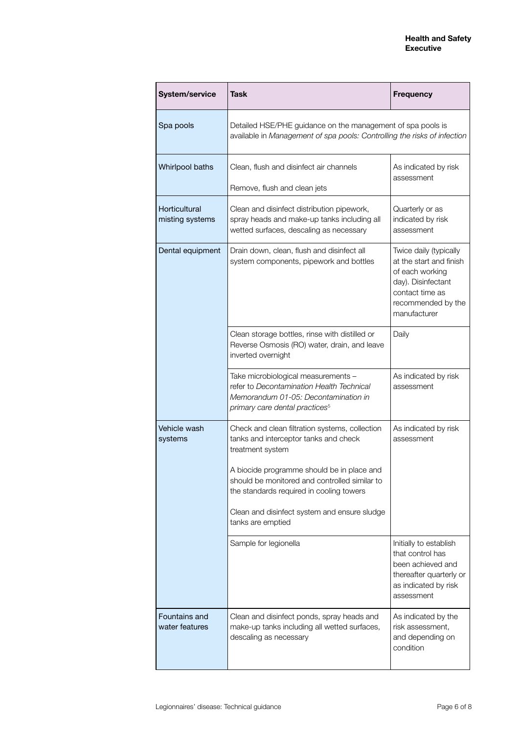| System/service                   | Task                                                                                                                                                                                                                                                                                                                        | <b>Frequency</b>                                                                                                                                    |
|----------------------------------|-----------------------------------------------------------------------------------------------------------------------------------------------------------------------------------------------------------------------------------------------------------------------------------------------------------------------------|-----------------------------------------------------------------------------------------------------------------------------------------------------|
| Spa pools                        | Detailed HSE/PHE guidance on the management of spa pools is<br>available in Management of spa pools: Controlling the risks of infection                                                                                                                                                                                     |                                                                                                                                                     |
| Whirlpool baths                  | Clean, flush and disinfect air channels<br>Remove, flush and clean jets                                                                                                                                                                                                                                                     | As indicated by risk<br>assessment                                                                                                                  |
| Horticultural<br>misting systems | Clean and disinfect distribution pipework,<br>spray heads and make-up tanks including all<br>wetted surfaces, descaling as necessary                                                                                                                                                                                        | Quarterly or as<br>indicated by risk<br>assessment                                                                                                  |
| Dental equipment                 | Drain down, clean, flush and disinfect all<br>system components, pipework and bottles                                                                                                                                                                                                                                       | Twice daily (typically<br>at the start and finish<br>of each working<br>day). Disinfectant<br>contact time as<br>recommended by the<br>manufacturer |
|                                  | Clean storage bottles, rinse with distilled or<br>Reverse Osmosis (RO) water, drain, and leave<br>inverted overnight                                                                                                                                                                                                        | Daily                                                                                                                                               |
|                                  | Take microbiological measurements -<br>refer to Decontamination Health Technical<br>Memorandum 01-05: Decontamination in<br>primary care dental practices <sup>5</sup>                                                                                                                                                      | As indicated by risk<br>assessment                                                                                                                  |
| Vehicle wash<br>systems          | Check and clean filtration systems, collection<br>tanks and interceptor tanks and check<br>treatment system<br>A biocide programme should be in place and<br>should be monitored and controlled similar to<br>the standards required in cooling towers<br>Clean and disinfect system and ensure sludge<br>tanks are emptied | As indicated by risk<br>assessment                                                                                                                  |
|                                  | Sample for legionella                                                                                                                                                                                                                                                                                                       | Initially to establish<br>that control has<br>been achieved and<br>thereafter quarterly or<br>as indicated by risk<br>assessment                    |
| Fountains and<br>water features  | Clean and disinfect ponds, spray heads and<br>make-up tanks including all wetted surfaces,<br>descaling as necessary                                                                                                                                                                                                        | As indicated by the<br>risk assessment,<br>and depending on<br>condition                                                                            |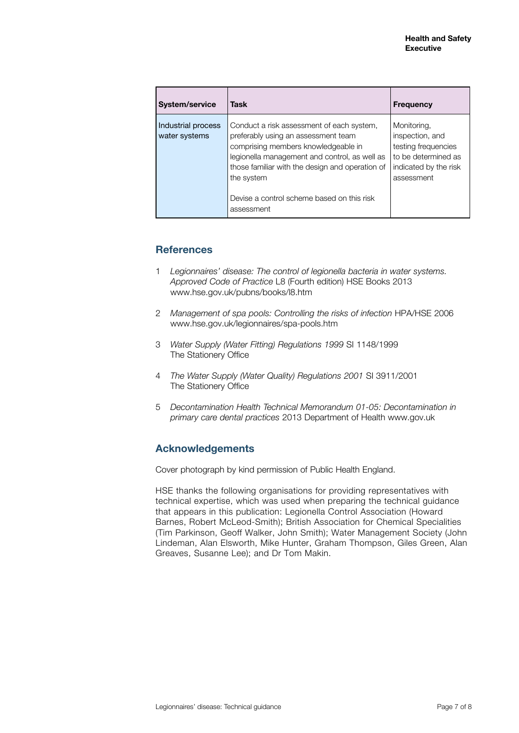| System/service                      | Task                                                                                                                                                                                                                                                                                                  | <b>Frequency</b>                                                                                                    |
|-------------------------------------|-------------------------------------------------------------------------------------------------------------------------------------------------------------------------------------------------------------------------------------------------------------------------------------------------------|---------------------------------------------------------------------------------------------------------------------|
| Industrial process<br>water systems | Conduct a risk assessment of each system,<br>preferably using an assessment team<br>comprising members knowledgeable in<br>legionella management and control, as well as<br>those familiar with the design and operation of<br>the system<br>Devise a control scheme based on this risk<br>assessment | Monitoring,<br>inspection, and<br>testing frequencies<br>to be determined as<br>indicated by the risk<br>assessment |

## **References**

- 1 *Legionnaires' disease: The control of legionella bacteria in water systems. Approved Code of Practice* L8 (Fourth edition) HSE Books 2013 [www.hse.gov.uk/pubns/books/l8.htm](http://www.hse.gov.uk/pubns/books/l8.htm)
- 2 *Management of spa pools: Controlling the risks of infection* HPA/HSE 2006 www.hse.gov.uk/legionnaires/spa-pools.htm
- 3 *Water Supply (Water Fitting) Regulations 1999* SI 1148/1999 The Stationery Office
- 4 *The Water Supply (Water Quality) Regulations 2001* SI 3911/2001 The Stationery Office
- 5 *Decontamination Health Technical Memorandum 01-05: Decontamination in primary care dental practices* 2013 Department of Health www.gov.uk

#### **Acknowledgements**

Cover photograph by kind permission of Public Health England.

HSE thanks the following organisations for providing representatives with technical expertise, which was used when preparing the technical guidance that appears in this publication: Legionella Control Association (Howard Barnes, Robert McLeod-Smith); British Association for Chemical Specialities (Tim Parkinson, Geoff Walker, John Smith); Water Management Society (John Lindeman, Alan Elsworth, Mike Hunter, Graham Thompson, Giles Green, Alan Greaves, Susanne Lee); and Dr Tom Makin.